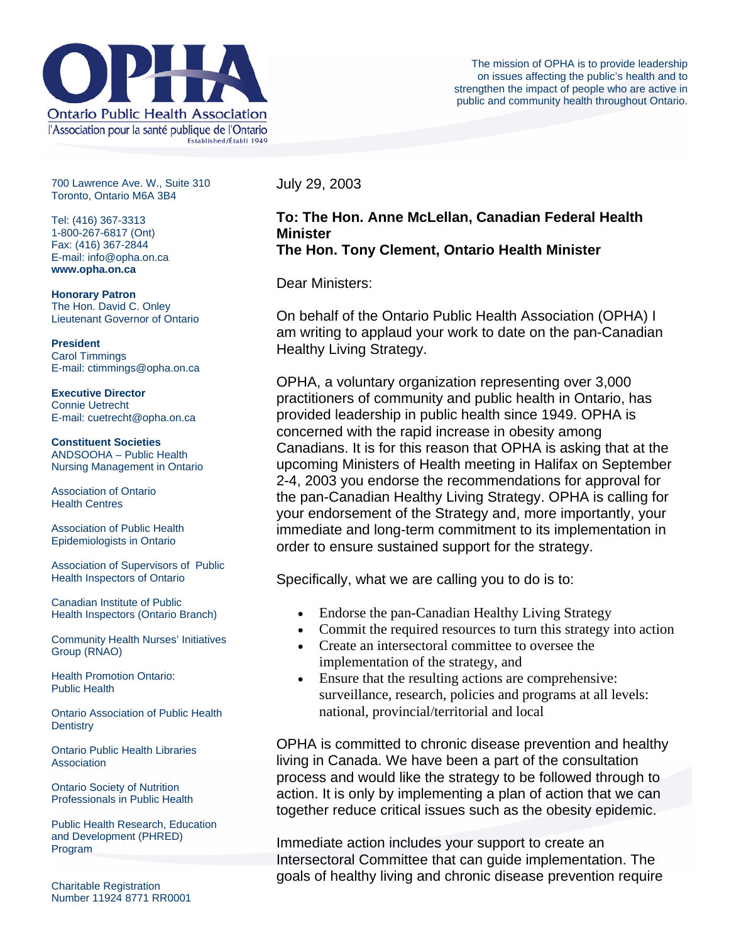

700 Lawrence Ave. W., Suite 310 Toronto, Ontario M6A 3B4

Tel: (416) 367-3313 1-800-267-6817 (Ont) Fax: (416) 367-2844 E-mail: info@opha.on.ca **www.opha.on.ca** 

**Honorary Patron**  The Hon. David C. Onley Lieutenant Governor of Ontario

**President**  Carol Timmings E-mail: ctimmings@opha.on.ca

**Executive Director**  Connie Uetrecht E-mail: cuetrecht@opha.on.ca

**Constituent Societies**  ANDSOOHA – Public Health Nursing Management in Ontario

Association of Ontario Health Centres

Association of Public Health Epidemiologists in Ontario

Association of Supervisors of Public Health Inspectors of Ontario

Canadian Institute of Public Health Inspectors (Ontario Branch)

Community Health Nurses' Initiatives Group (RNAO)

Health Promotion Ontario: Public Health

Ontario Association of Public Health **Dentistry** 

Ontario Public Health Libraries **Association** 

Ontario Society of Nutrition Professionals in Public Health

Public Health Research, Education and Development (PHRED) Program

Charitable Registration Number 11924 8771 RR0001 July 29, 2003

## **To: The Hon. Anne McLellan, Canadian Federal Health Minister The Hon. Tony Clement, Ontario Health Minister**

Dear Ministers:

On behalf of the Ontario Public Health Association (OPHA) I am writing to applaud your work to date on the pan-Canadian Healthy Living Strategy.

OPHA, a voluntary organization representing over 3,000 practitioners of community and public health in Ontario, has provided leadership in public health since 1949. OPHA is concerned with the rapid increase in obesity among Canadians. It is for this reason that OPHA is asking that at the upcoming Ministers of Health meeting in Halifax on September 2-4, 2003 you endorse the recommendations for approval for the pan-Canadian Healthy Living Strategy. OPHA is calling for your endorsement of the Strategy and, more importantly, your immediate and long-term commitment to its implementation in order to ensure sustained support for the strategy.

Specifically, what we are calling you to do is to:

- Endorse the pan-Canadian Healthy Living Strategy
- Commit the required resources to turn this strategy into action
- Create an intersectoral committee to oversee the implementation of the strategy, and
- Ensure that the resulting actions are comprehensive: surveillance, research, policies and programs at all levels: national, provincial/territorial and local

OPHA is committed to chronic disease prevention and healthy living in Canada. We have been a part of the consultation process and would like the strategy to be followed through to action. It is only by implementing a plan of action that we can together reduce critical issues such as the obesity epidemic.

Immediate action includes your support to create an Intersectoral Committee that can guide implementation. The goals of healthy living and chronic disease prevention require